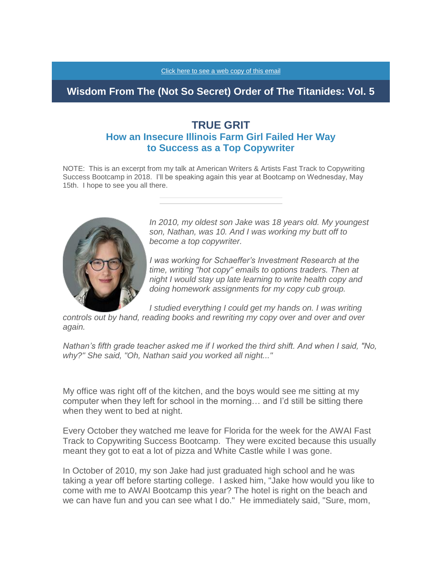## **Wisdom From The (Not So Secret) Order of The Titanides: Vol. 5**

## **TRUE GRIT How an Insecure Illinois Farm Girl Failed Her Way to Success as a Top Copywriter**

NOTE: This is an excerpt from my talk at American Writers & Artists Fast Track to Copywriting Success Bootcamp in 2018. I'll be speaking again this year at Bootcamp on Wednesday, May 15th. I hope to see you all there.



*In 2010, my oldest son Jake was 18 years old. My youngest son, Nathan, was 10. And I was working my butt off to become a top copywriter.*

*I was working for Schaeffer's Investment Research at the time, writing "hot copy" emails to options traders. Then at night I would stay up late learning to write health copy and doing homework assignments for my copy cub group.*

*I* studied everything I could get my hands on. I was writing

*controls out by hand, reading books and rewriting my copy over and over and over again.*

*Nathan's fifth grade teacher asked me if I worked the third shift. And when I said, "No, why?" She said, "Oh, Nathan said you worked all night..."*

My office was right off of the kitchen, and the boys would see me sitting at my computer when they left for school in the morning… and I'd still be sitting there when they went to bed at night.

Every October they watched me leave for Florida for the week for the AWAI Fast Track to Copywriting Success Bootcamp. They were excited because this usually meant they got to eat a lot of pizza and White Castle while I was gone.

In October of 2010, my son Jake had just graduated high school and he was taking a year off before starting college. I asked him, "Jake how would you like to come with me to AWAI Bootcamp this year? The hotel is right on the beach and we can have fun and you can see what I do." He immediately said, "Sure, mom,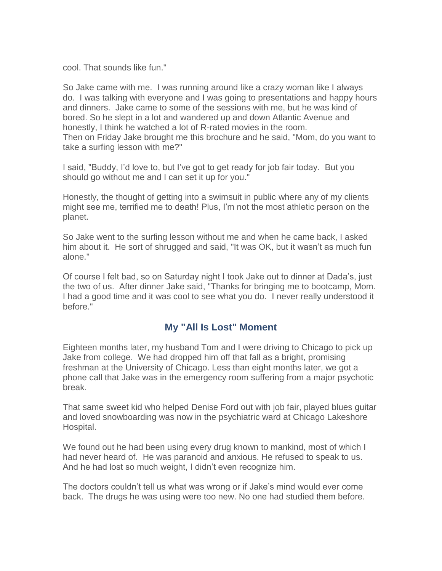cool. That sounds like fun."

So Jake came with me. I was running around like a crazy woman like I always do. I was talking with everyone and I was going to presentations and happy hours and dinners. Jake came to some of the sessions with me, but he was kind of bored. So he slept in a lot and wandered up and down Atlantic Avenue and honestly, I think he watched a lot of R-rated movies in the room. Then on Friday Jake brought me this brochure and he said, "Mom, do you want to take a surfing lesson with me?"

I said, "Buddy, I'd love to, but I've got to get ready for job fair today. But you should go without me and I can set it up for you."

Honestly, the thought of getting into a swimsuit in public where any of my clients might see me, terrified me to death! Plus, I'm not the most athletic person on the planet.

So Jake went to the surfing lesson without me and when he came back, I asked him about it. He sort of shrugged and said, "It was OK, but it wasn't as much fun alone."

Of course I felt bad, so on Saturday night I took Jake out to dinner at Dada's, just the two of us. After dinner Jake said, "Thanks for bringing me to bootcamp, Mom. I had a good time and it was cool to see what you do. I never really understood it before."

## **My "All Is Lost" Moment**

Eighteen months later, my husband Tom and I were driving to Chicago to pick up Jake from college. We had dropped him off that fall as a bright, promising freshman at the University of Chicago. Less than eight months later, we got a phone call that Jake was in the emergency room suffering from a major psychotic break.

That same sweet kid who helped Denise Ford out with job fair, played blues guitar and loved snowboarding was now in the psychiatric ward at Chicago Lakeshore Hospital.

We found out he had been using every drug known to mankind, most of which I had never heard of. He was paranoid and anxious. He refused to speak to us. And he had lost so much weight, I didn't even recognize him.

The doctors couldn't tell us what was wrong or if Jake's mind would ever come back. The drugs he was using were too new. No one had studied them before.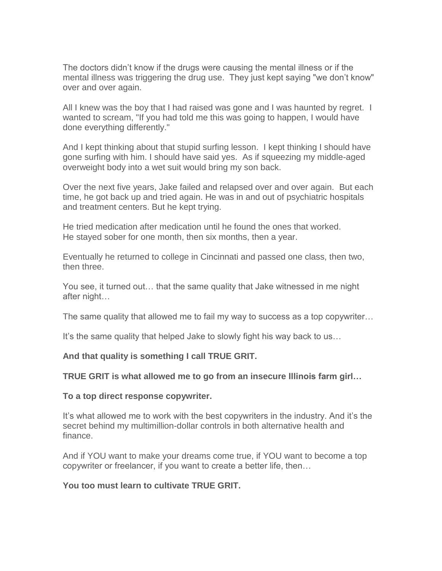The doctors didn't know if the drugs were causing the mental illness or if the mental illness was triggering the drug use. They just kept saying "we don't know" over and over again.

All I knew was the boy that I had raised was gone and I was haunted by regret. I wanted to scream, "If you had told me this was going to happen, I would have done everything differently."

And I kept thinking about that stupid surfing lesson. I kept thinking I should have gone surfing with him. I should have said yes. As if squeezing my middle-aged overweight body into a wet suit would bring my son back.

Over the next five years, Jake failed and relapsed over and over again. But each time, he got back up and tried again. He was in and out of psychiatric hospitals and treatment centers. But he kept trying.

He tried medication after medication until he found the ones that worked. He stayed sober for one month, then six months, then a year.

Eventually he returned to college in Cincinnati and passed one class, then two, then three.

You see, it turned out… that the same quality that Jake witnessed in me night after night…

The same quality that allowed me to fail my way to success as a top copywriter…

It's the same quality that helped Jake to slowly fight his way back to us…

**And that quality is something I call TRUE GRIT.**

**TRUE GRIT is what allowed me to go from an insecure Illinois farm girl…**

**To a top direct response copywriter.**

It's what allowed me to work with the best copywriters in the industry. And it's the secret behind my multimillion-dollar controls in both alternative health and finance.

And if YOU want to make your dreams come true, if YOU want to become a top copywriter or freelancer, if you want to create a better life, then…

**You too must learn to cultivate TRUE GRIT.**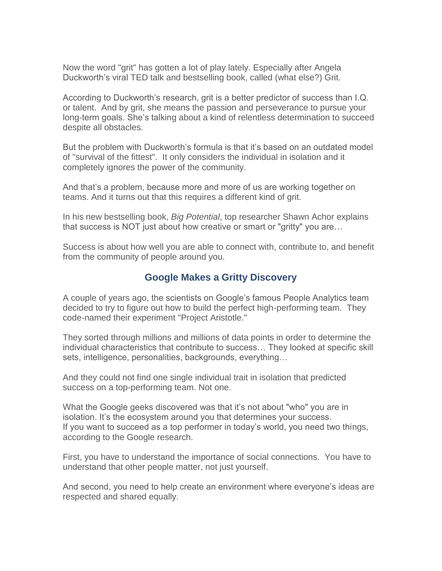Now the word "grit" has gotten a lot of play lately. Especially after Angela Duckworth's viral TED talk and bestselling book, called (what else?) Grit.

According to Duckworth's research, grit is a better predictor of success than I.Q. or talent. And by grit, she means the passion and perseverance to pursue your long-term goals. She's talking about a kind of relentless determination to succeed despite all obstacles.

But the problem with Duckworth's formula is that it's based on an outdated model of "survival of the fittest". It only considers the individual in isolation and it completely ignores the power of the community.

And that's a problem, because more and more of us are working together on teams. And it turns out that this requires a different kind of grit.

In his new bestselling book, *Big Potential*, top researcher Shawn Achor explains that success is NOT just about how creative or smart or "gritty" you are…

Success is about how well you are able to connect with, contribute to, and benefit from the community of people around you.

### **Google Makes a Gritty Discovery**

A couple of years ago, the scientists on Google's famous People Analytics team decided to try to figure out how to build the perfect high-performing team. They code-named their experiment "Project Aristotle."

They sorted through millions and millions of data points in order to determine the individual characteristics that contribute to success… They looked at specific skill sets, intelligence, personalities, backgrounds, everything…

And they could not find one single individual trait in isolation that predicted success on a top-performing team. Not one.

What the Google geeks discovered was that it's not about "who" you are in isolation. It's the ecosystem around you that determines your success. If you want to succeed as a top performer in today's world, you need two things, according to the Google research.

First, you have to understand the importance of social connections. You have to understand that other people matter, not just yourself.

And second, you need to help create an environment where everyone's ideas are respected and shared equally.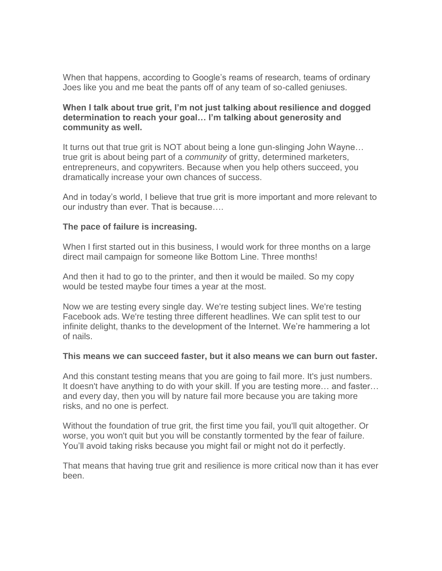When that happens, according to Google's reams of research, teams of ordinary Joes like you and me beat the pants off of any team of so-called geniuses.

#### **When I talk about true grit, I'm not just talking about resilience and dogged determination to reach your goal… I'm talking about generosity and community as well.**

It turns out that true grit is NOT about being a lone gun-slinging John Wayne… true grit is about being part of a *community* of gritty, determined marketers, entrepreneurs, and copywriters. Because when you help others succeed, you dramatically increase your own chances of success.

And in today's world, I believe that true grit is more important and more relevant to our industry than ever. That is because….

#### **The pace of failure is increasing.**

When I first started out in this business. I would work for three months on a large direct mail campaign for someone like Bottom Line. Three months!

And then it had to go to the printer, and then it would be mailed. So my copy would be tested maybe four times a year at the most.

Now we are testing every single day. We're testing subject lines. We're testing Facebook ads. We're testing three different headlines. We can split test to our infinite delight, thanks to the development of the Internet. We're hammering a lot of nails.

#### **This means we can succeed faster, but it also means we can burn out faster.**

And this constant testing means that you are going to fail more. It's just numbers. It doesn't have anything to do with your skill. If you are testing more… and faster… and every day, then you will by nature fail more because you are taking more risks, and no one is perfect.

Without the foundation of true grit, the first time you fail, you'll quit altogether. Or worse, you won't quit but you will be constantly tormented by the fear of failure. You'll avoid taking risks because you might fail or might not do it perfectly.

That means that having true grit and resilience is more critical now than it has ever been.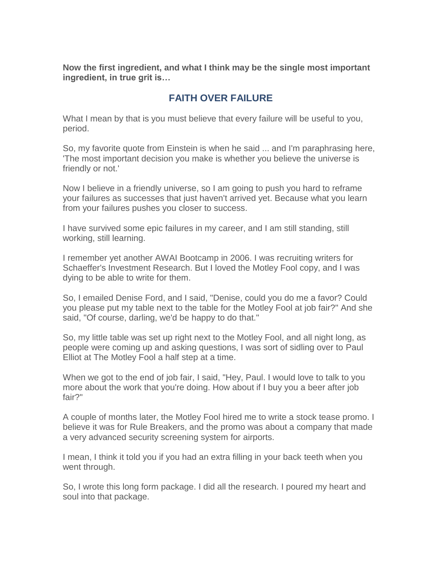**Now the first ingredient, and what I think may be the single most important ingredient, in true grit is…**

# **FAITH OVER FAILURE**

What I mean by that is you must believe that every failure will be useful to you, period.

So, my favorite quote from Einstein is when he said ... and I'm paraphrasing here, 'The most important decision you make is whether you believe the universe is friendly or not.'

Now I believe in a friendly universe, so I am going to push you hard to reframe your failures as successes that just haven't arrived yet. Because what you learn from your failures pushes you closer to success.

I have survived some epic failures in my career, and I am still standing, still working, still learning.

I remember yet another AWAI Bootcamp in 2006. I was recruiting writers for Schaeffer's Investment Research. But I loved the Motley Fool copy, and I was dying to be able to write for them.

So, I emailed Denise Ford, and I said, "Denise, could you do me a favor? Could you please put my table next to the table for the Motley Fool at job fair?" And she said, "Of course, darling, we'd be happy to do that."

So, my little table was set up right next to the Motley Fool, and all night long, as people were coming up and asking questions, I was sort of sidling over to Paul Elliot at The Motley Fool a half step at a time.

When we got to the end of job fair, I said, "Hey, Paul. I would love to talk to you more about the work that you're doing. How about if I buy you a beer after job fair?"

A couple of months later, the Motley Fool hired me to write a stock tease promo. I believe it was for Rule Breakers, and the promo was about a company that made a very advanced security screening system for airports.

I mean, I think it told you if you had an extra filling in your back teeth when you went through.

So, I wrote this long form package. I did all the research. I poured my heart and soul into that package.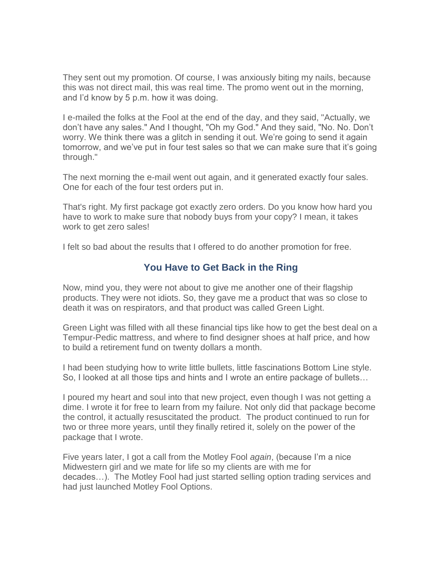They sent out my promotion. Of course, I was anxiously biting my nails, because this was not direct mail, this was real time. The promo went out in the morning, and I'd know by 5 p.m. how it was doing.

I e-mailed the folks at the Fool at the end of the day, and they said, "Actually, we don't have any sales." And I thought, "Oh my God." And they said, "No. No. Don't worry. We think there was a glitch in sending it out. We're going to send it again tomorrow, and we've put in four test sales so that we can make sure that it's going through."

The next morning the e-mail went out again, and it generated exactly four sales. One for each of the four test orders put in.

That's right. My first package got exactly zero orders. Do you know how hard you have to work to make sure that nobody buys from your copy? I mean, it takes work to get zero sales!

I felt so bad about the results that I offered to do another promotion for free.

## **You Have to Get Back in the Ring**

Now, mind you, they were not about to give me another one of their flagship products. They were not idiots. So, they gave me a product that was so close to death it was on respirators, and that product was called Green Light.

Green Light was filled with all these financial tips like how to get the best deal on a Tempur-Pedic mattress, and where to find designer shoes at half price, and how to build a retirement fund on twenty dollars a month.

I had been studying how to write little bullets, little fascinations Bottom Line style. So, I looked at all those tips and hints and I wrote an entire package of bullets…

I poured my heart and soul into that new project, even though I was not getting a dime. I wrote it for free to learn from my failure. Not only did that package become the control, it actually resuscitated the product. The product continued to run for two or three more years, until they finally retired it, solely on the power of the package that I wrote.

Five years later, I got a call from the Motley Fool *again*, (because I'm a nice Midwestern girl and we mate for life so my clients are with me for decades…). The Motley Fool had just started selling option trading services and had just launched Motley Fool Options.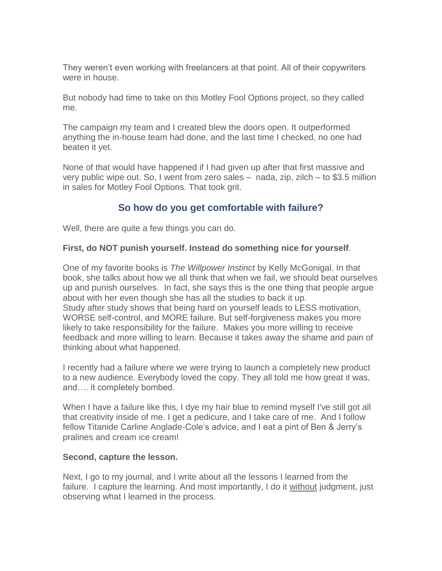They weren't even working with freelancers at that point. All of their copywriters were in house.

But nobody had time to take on this Motley Fool Options project, so they called me.

The campaign my team and I created blew the doors open. It outperformed anything the in-house team had done, and the last time I checked, no one had beaten it yet.

None of that would have happened if I had given up after that first massive and very public wipe out. So, I went from zero sales – nada, zip, zilch – to \$3.5 million in sales for Motley Fool Options. That took grit.

## **So how do you get comfortable with failure?**

Well, there are quite a few things you can do.

### **First, do NOT punish yourself. Instead do something nice for yourself**.

One of my favorite books is *The Willpower Instinct* by Kelly McGonigal. In that book, she talks about how we all think that when we fail, we should beat ourselves up and punish ourselves. In fact, she says this is the one thing that people argue about with her even though she has all the studies to back it up. Study after study shows that being hard on yourself leads to LESS motivation, WORSE self-control, and MORE failure. But self-forgiveness makes you more likely to take responsibility for the failure. Makes you more willing to receive feedback and more willing to learn. Because it takes away the shame and pain of thinking about what happened.

I recently had a failure where we were trying to launch a completely new product to a new audience. Everybody loved the copy. They all told me how great it was, and…. it completely bombed.

When I have a failure like this, I dye my hair blue to remind myself I've still got all that creativity inside of me. I get a pedicure, and I take care of me. And I follow fellow Titanide Carline Anglade-Cole's advice, and I eat a pint of Ben & Jerry's pralines and cream ice cream!

#### **Second, capture the lesson.**

Next, I go to my journal, and I write about all the lessons I learned from the failure. I capture the learning. And most importantly, I do it without judgment, just observing what I learned in the process.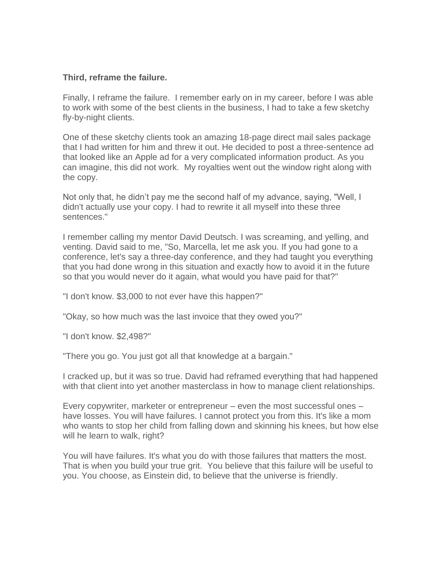#### **Third, reframe the failure.**

Finally, I reframe the failure. I remember early on in my career, before I was able to work with some of the best clients in the business, I had to take a few sketchy fly-by-night clients.

One of these sketchy clients took an amazing 18-page direct mail sales package that I had written for him and threw it out. He decided to post a three-sentence ad that looked like an Apple ad for a very complicated information product. As you can imagine, this did not work. My royalties went out the window right along with the copy.

Not only that, he didn't pay me the second half of my advance, saying, "Well, I didn't actually use your copy. I had to rewrite it all myself into these three sentences."

I remember calling my mentor David Deutsch. I was screaming, and yelling, and venting. David said to me, "So, Marcella, let me ask you. If you had gone to a conference, let's say a three-day conference, and they had taught you everything that you had done wrong in this situation and exactly how to avoid it in the future so that you would never do it again, what would you have paid for that?"

"I don't know. \$3,000 to not ever have this happen?"

"Okay, so how much was the last invoice that they owed you?"

"I don't know. \$2,498?"

"There you go. You just got all that knowledge at a bargain."

I cracked up, but it was so true. David had reframed everything that had happened with that client into yet another masterclass in how to manage client relationships.

Every copywriter, marketer or entrepreneur – even the most successful ones – have losses. You will have failures. I cannot protect you from this. It's like a mom who wants to stop her child from falling down and skinning his knees, but how else will he learn to walk, right?

You will have failures. It's what you do with those failures that matters the most. That is when you build your true grit. You believe that this failure will be useful to you. You choose, as Einstein did, to believe that the universe is friendly.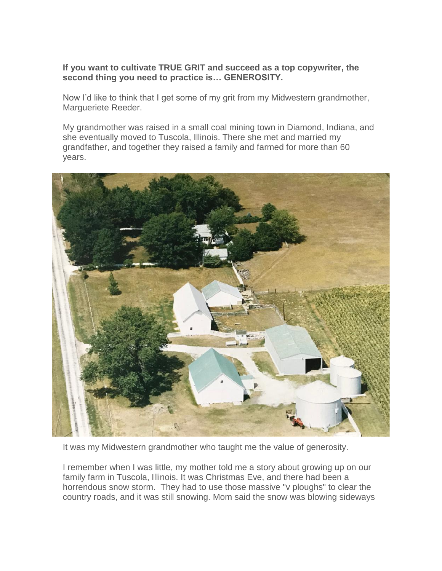**If you want to cultivate TRUE GRIT and succeed as a top copywriter, the second thing you need to practice is… GENEROSITY.**

Now I'd like to think that I get some of my grit from my Midwestern grandmother, Margueriete Reeder.

My grandmother was raised in a small coal mining town in Diamond, Indiana, and she eventually moved to Tuscola, Illinois. There she met and married my grandfather, and together they raised a family and farmed for more than 60 years.



It was my Midwestern grandmother who taught me the value of generosity.

I remember when I was little, my mother told me a story about growing up on our family farm in Tuscola, Illinois. It was Christmas Eve, and there had been a horrendous snow storm. They had to use those massive "v ploughs" to clear the country roads, and it was still snowing. Mom said the snow was blowing sideways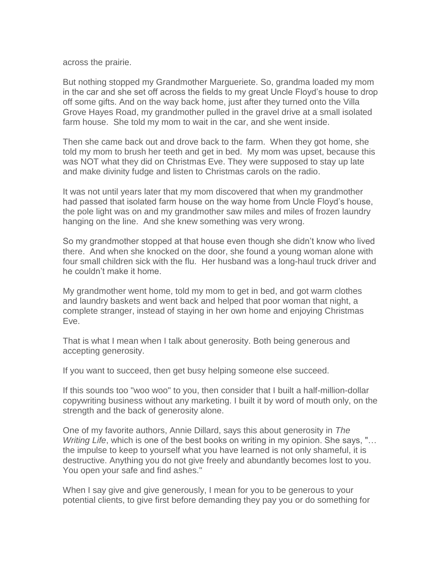across the prairie.

But nothing stopped my Grandmother Margueriete. So, grandma loaded my mom in the car and she set off across the fields to my great Uncle Floyd's house to drop off some gifts. And on the way back home, just after they turned onto the Villa Grove Hayes Road, my grandmother pulled in the gravel drive at a small isolated farm house. She told my mom to wait in the car, and she went inside.

Then she came back out and drove back to the farm. When they got home, she told my mom to brush her teeth and get in bed. My mom was upset, because this was NOT what they did on Christmas Eve. They were supposed to stay up late and make divinity fudge and listen to Christmas carols on the radio.

It was not until years later that my mom discovered that when my grandmother had passed that isolated farm house on the way home from Uncle Floyd's house, the pole light was on and my grandmother saw miles and miles of frozen laundry hanging on the line. And she knew something was very wrong.

So my grandmother stopped at that house even though she didn't know who lived there. And when she knocked on the door, she found a young woman alone with four small children sick with the flu. Her husband was a long-haul truck driver and he couldn't make it home.

My grandmother went home, told my mom to get in bed, and got warm clothes and laundry baskets and went back and helped that poor woman that night, a complete stranger, instead of staying in her own home and enjoying Christmas Eve.

That is what I mean when I talk about generosity. Both being generous and accepting generosity.

If you want to succeed, then get busy helping someone else succeed.

If this sounds too "woo woo" to you, then consider that I built a half-million-dollar copywriting business without any marketing. I built it by word of mouth only, on the strength and the back of generosity alone.

One of my favorite authors, Annie Dillard, says this about generosity in *The Writing Life*, which is one of the best books on writing in my opinion. She says, "… the impulse to keep to yourself what you have learned is not only shameful, it is destructive. Anything you do not give freely and abundantly becomes lost to you. You open your safe and find ashes."

When I say give and give generously, I mean for you to be generous to your potential clients, to give first before demanding they pay you or do something for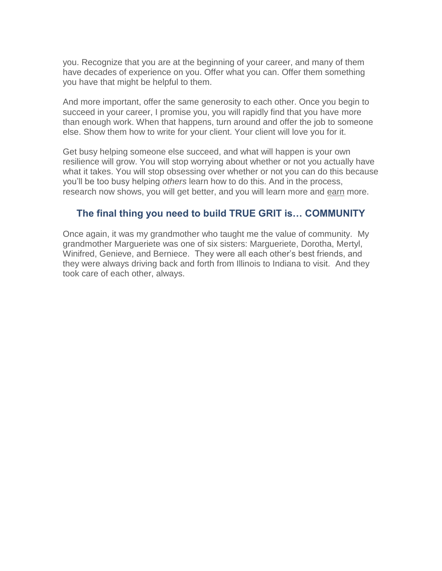you. Recognize that you are at the beginning of your career, and many of them have decades of experience on you. Offer what you can. Offer them something you have that might be helpful to them.

And more important, offer the same generosity to each other. Once you begin to succeed in your career, I promise you, you will rapidly find that you have more than enough work. When that happens, turn around and offer the job to someone else. Show them how to write for your client. Your client will love you for it.

Get busy helping someone else succeed, and what will happen is your own resilience will grow. You will stop worrying about whether or not you actually have what it takes. You will stop obsessing over whether or not you can do this because you'll be too busy helping *others* learn how to do this. And in the process, research now shows, you will get better, and you will learn more and earn more.

### **The final thing you need to build TRUE GRIT is… COMMUNITY**

Once again, it was my grandmother who taught me the value of community. My grandmother Margueriete was one of six sisters: Margueriete, Dorotha, Mertyl, Winifred, Genieve, and Berniece. They were all each other's best friends, and they were always driving back and forth from Illinois to Indiana to visit. And they took care of each other, always.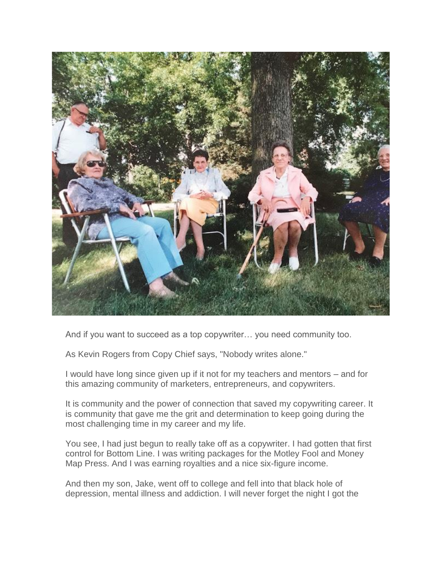

And if you want to succeed as a top copywriter… you need community too.

As Kevin Rogers from Copy Chief says, "Nobody writes alone."

I would have long since given up if it not for my teachers and mentors – and for this amazing community of marketers, entrepreneurs, and copywriters.

It is community and the power of connection that saved my copywriting career. It is community that gave me the grit and determination to keep going during the most challenging time in my career and my life.

You see, I had just begun to really take off as a copywriter. I had gotten that first control for Bottom Line. I was writing packages for the Motley Fool and Money Map Press. And I was earning royalties and a nice six-figure income.

And then my son, Jake, went off to college and fell into that black hole of depression, mental illness and addiction. I will never forget the night I got the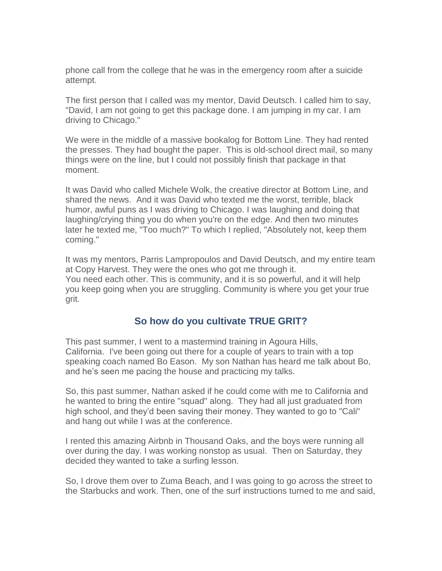phone call from the college that he was in the emergency room after a suicide attempt.

The first person that I called was my mentor, David Deutsch. I called him to say, "David, I am not going to get this package done. I am jumping in my car. I am driving to Chicago."

We were in the middle of a massive bookalog for Bottom Line. They had rented the presses. They had bought the paper. This is old-school direct mail, so many things were on the line, but I could not possibly finish that package in that moment.

It was David who called Michele Wolk, the creative director at Bottom Line, and shared the news. And it was David who texted me the worst, terrible, black humor, awful puns as I was driving to Chicago. I was laughing and doing that laughing/crying thing you do when you're on the edge. And then two minutes later he texted me, "Too much?" To which I replied, "Absolutely not, keep them coming."

It was my mentors, Parris Lampropoulos and David Deutsch, and my entire team at Copy Harvest. They were the ones who got me through it. You need each other. This is community, and it is so powerful, and it will help you keep going when you are struggling. Community is where you get your true grit.

### **So how do you cultivate TRUE GRIT?**

This past summer, I went to a mastermind training in Agoura Hills, California. I've been going out there for a couple of years to train with a top speaking coach named Bo Eason. My son Nathan has heard me talk about Bo, and he's seen me pacing the house and practicing my talks.

So, this past summer, Nathan asked if he could come with me to California and he wanted to bring the entire "squad" along. They had all just graduated from high school, and they'd been saving their money. They wanted to go to "Cali" and hang out while I was at the conference.

I rented this amazing Airbnb in Thousand Oaks, and the boys were running all over during the day. I was working nonstop as usual. Then on Saturday, they decided they wanted to take a surfing lesson.

So, I drove them over to Zuma Beach, and I was going to go across the street to the Starbucks and work. Then, one of the surf instructions turned to me and said,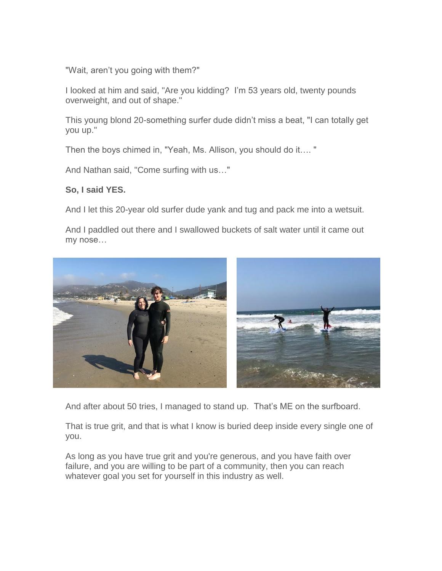"Wait, aren't you going with them?"

I looked at him and said, "Are you kidding? I'm 53 years old, twenty pounds overweight, and out of shape."

This young blond 20-something surfer dude didn't miss a beat, "I can totally get you up."

Then the boys chimed in, "Yeah, Ms. Allison, you should do it…. "

And Nathan said, "Come surfing with us…"

#### **So, I said YES.**

And I let this 20-year old surfer dude yank and tug and pack me into a wetsuit.

And I paddled out there and I swallowed buckets of salt water until it came out my nose…



And after about 50 tries, I managed to stand up. That's ME on the surfboard.

That is true grit, and that is what I know is buried deep inside every single one of you.

As long as you have true grit and you're generous, and you have faith over failure, and you are willing to be part of a community, then you can reach whatever goal you set for yourself in this industry as well.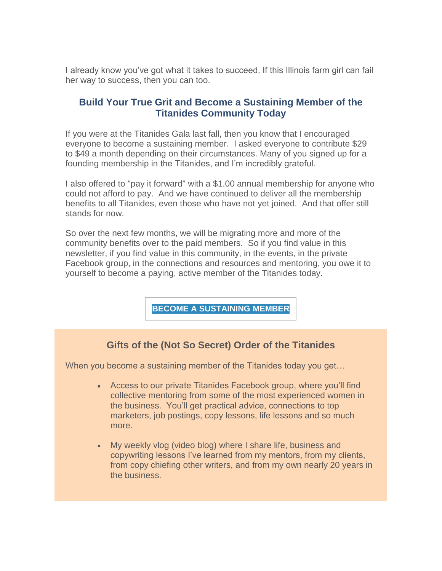I already know you've got what it takes to succeed. If this Illinois farm girl can fail her way to success, then you can too.

### **Build Your True Grit and Become a Sustaining Member of the Titanides Community Today**

If you were at the Titanides Gala last fall, then you know that I encouraged everyone to become a sustaining member. I asked everyone to contribute \$29 to \$49 a month depending on their circumstances. Many of you signed up for a founding membership in the Titanides, and I'm incredibly grateful.

I also offered to "pay it forward" with a \$1.00 annual membership for anyone who could not afford to pay. And we have continued to deliver all the membership benefits to all Titanides, even those who have not yet joined. And that offer still stands for now.

So over the next few months, we will be migrating more and more of the community benefits over to the paid members. So if you find value in this newsletter, if you find value in this community, in the events, in the private Facebook group, in the connections and resources and mentoring, you owe it to yourself to become a paying, active member of the Titanides today.

**BECOME A [SUSTAINING](https://titanidesllc.acemlna.com/lt.php?notrack=1¬rack=1&s=bad97c655476f96a390a72c05a742011&i=142A192A27A949) MEMBER**

### **Gifts of the (Not So Secret) Order of the Titanides**

When you become a sustaining member of the Titanides today you get...

- Access to our private Titanides Facebook group, where you'll find collective mentoring from some of the most experienced women in the business. You'll get practical advice, connections to top marketers, job postings, copy lessons, life lessons and so much more.
- My weekly vlog (video blog) where I share life, business and copywriting lessons I've learned from my mentors, from my clients, from copy chiefing other writers, and from my own nearly 20 years in the business.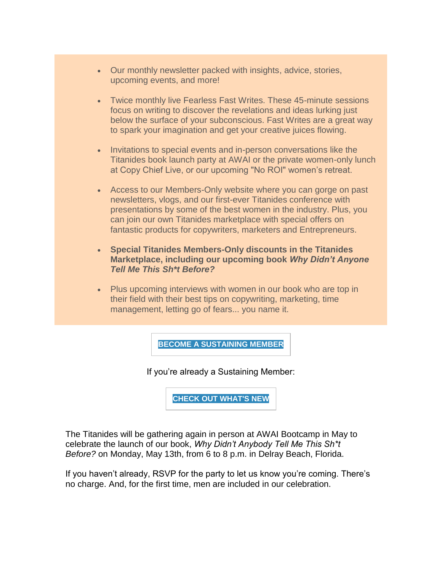- Our monthly newsletter packed with insights, advice, stories, upcoming events, and more!
- Twice monthly live Fearless Fast Writes. These 45-minute sessions focus on writing to discover the revelations and ideas lurking just below the surface of your subconscious. Fast Writes are a great way to spark your imagination and get your creative juices flowing.
- Invitations to special events and in-person conversations like the Titanides book launch party at AWAI or the private women-only lunch at Copy Chief Live, or our upcoming "No ROI" women's retreat.
- Access to our Members-Only website where you can gorge on past newsletters, vlogs, and our first-ever Titanides conference with presentations by some of the best women in the industry. Plus, you can join our own Titanides marketplace with special offers on fantastic products for copywriters, marketers and Entrepreneurs.
- **Special Titanides Members-Only discounts in the Titanides Marketplace, including our upcoming book** *Why Didn't Anyone Tell Me This Sh\*t Before?*
- Plus upcoming interviews with women in our book who are top in their field with their best tips on copywriting, marketing, time management, letting go of fears... you name it.

**BECOME A [SUSTAINING](https://titanidesllc.acemlna.com/lt.php?notrack=1¬rack=1&s=bad97c655476f96a390a72c05a742011&i=142A192A27A949) MEMBER**

If you're already a Sustaining Member:

**CHECK OUT [WHAT'S](https://titanidesllc.acemlna.com/lt.php?notrack=1¬rack=1&s=bad97c655476f96a390a72c05a742011&i=142A192A27A950) NEW**

The Titanides will be gathering again in person at AWAI Bootcamp in May to celebrate the launch of our book, *Why Didn't Anybody Tell Me This Sh\*t Before?* on Monday, May 13th, from 6 to 8 p.m. in Delray Beach, Florida.

If you haven't already, RSVP for the party to let us know you're coming. There's no charge. And, for the first time, men are included in our celebration.